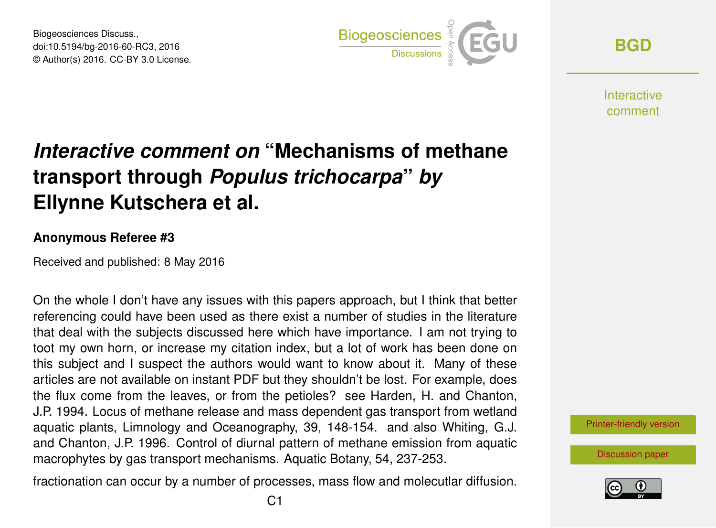Biogeosciences Discuss., doi:10.5194/bg-2016-60-RC3, 2016 © Author(s) 2016. CC-BY 3.0 License.



**[BGD](http://www.biogeosciences-discuss.net/)**

**Interactive** comment

## *Interactive comment on* **"Mechanisms of methane transport through** *Populus trichocarpa***"** *by* **Ellynne Kutschera et al.**

## **Anonymous Referee #3**

Received and published: 8 May 2016

On the whole I don't have any issues with this papers approach, but I think that better referencing could have been used as there exist a number of studies in the literature that deal with the subjects discussed here which have importance. I am not trying to toot my own horn, or increase my citation index, but a lot of work has been done on this subject and I suspect the authors would want to know about it. Many of these articles are not available on instant PDF but they shouldn't be lost. For example, does the flux come from the leaves, or from the petioles? see Harden, H. and Chanton, J.P. 1994. Locus of methane release and mass dependent gas transport from wetland aquatic plants, Limnology and Oceanography, 39, 148-154. and also Whiting, G.J. and Chanton, J.P. 1996. Control of diurnal pattern of methane emission from aquatic macrophytes by gas transport mechanisms. Aquatic Botany, 54, 237-253.

fractionation can occur by a number of processes, mass flow and molecutlar diffusion.



[Discussion paper](http://www.biogeosciences-discuss.net/bg-2016-60)